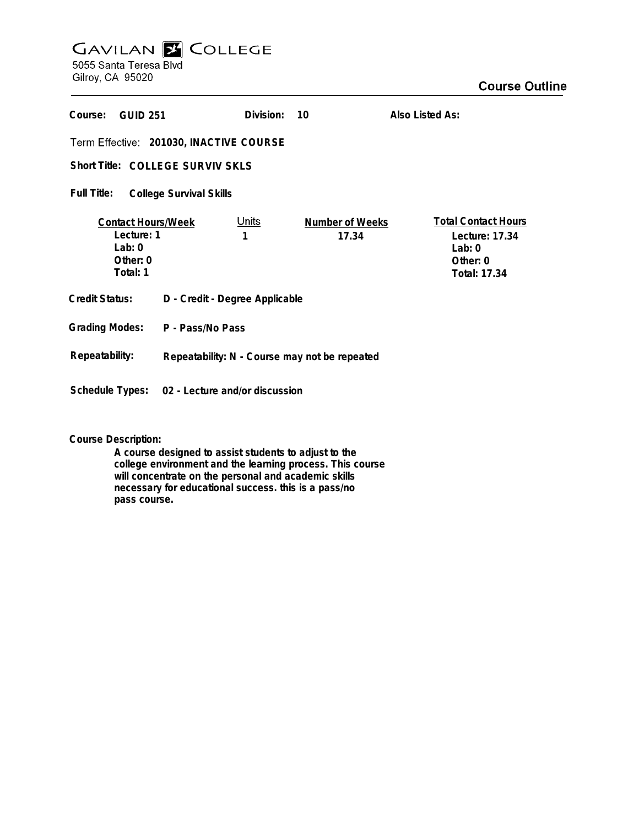# **GAVILAN E COLLEGE**<br>5055 Santa Teresa Blvd

Gilroy, CA 95020

| Course:<br><b>GUID 251</b>                                                       |                                                | Division:         | 10                              | Also Listed As:                                                                      |
|----------------------------------------------------------------------------------|------------------------------------------------|-------------------|---------------------------------|--------------------------------------------------------------------------------------|
| Term Effective: 201030, INACTIVE COURSE                                          |                                                |                   |                                 |                                                                                      |
| Short Title: COLLEGE SURVIV SKLS                                                 |                                                |                   |                                 |                                                                                      |
| Full Title:<br><b>College Survival Skills</b>                                    |                                                |                   |                                 |                                                                                      |
| <b>Contact Hours/Week</b><br>Lecture: 1<br>$1$ ab: $0$<br>Other: $0$<br>Total: 1 |                                                | <u>Units</u><br>1 | <b>Number of Weeks</b><br>17.34 | <b>Total Contact Hours</b><br>Lecture: 17.34<br>Lab: $0$<br>Other: 0<br>Total: 17.34 |
| Credit Status:                                                                   | D - Credit - Degree Applicable                 |                   |                                 |                                                                                      |
| <b>Grading Modes:</b>                                                            | P - Pass/No Pass                               |                   |                                 |                                                                                      |
| Repeatability:                                                                   | Repeatability: N - Course may not be repeated  |                   |                                 |                                                                                      |
|                                                                                  | Schedule Types: 02 - Lecture and/or discussion |                   |                                 |                                                                                      |

**Course Description:**

**A course designed to assist students to adjust to the college environment and the learning process. This course will concentrate on the personal and academic skills necessary for educational success. this is a pass/no pass course.**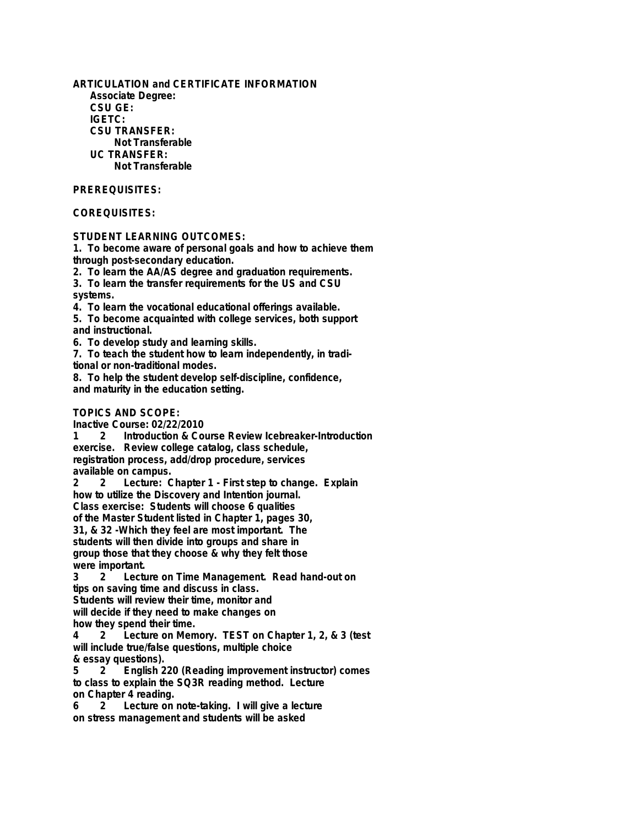**ARTICULATION and CERTIFICATE INFORMATION Associate Degree: CSU GE: IGETC: CSU TRANSFER: Not Transferable UC TRANSFER: Not Transferable**

## **PREREQUISITES:**

## **COREQUISITES:**

## **STUDENT LEARNING OUTCOMES:**

**1. To become aware of personal goals and how to achieve them through post-secondary education.**

**2. To learn the AA/AS degree and graduation requirements.**

**3. To learn the transfer requirements for the US and CSU systems.**

**4. To learn the vocational educational offerings available.**

**5. To become acquainted with college services, both support and instructional.**

**6. To develop study and learning skills.**

**7. To teach the student how to learn independently, in traditional or non-traditional modes.**

**8. To help the student develop self-discipline, confidence, and maturity in the education setting.**

### **TOPICS AND SCOPE:**

**Inactive Course: 02/22/2010**

**Introduction & Course Review Icebreaker-Introduction exercise. Review college catalog, class schedule, registration process, add/drop procedure, services available on campus.**

**2 2 Lecture: Chapter 1 - First step to change. Explain how to utilize the Discovery and Intention journal. Class exercise: Students will choose 6 qualities of the Master Student listed in Chapter 1, pages 30,**

**31, & 32 -Which they feel are most important. The students will then divide into groups and share in group those that they choose & why they felt those** were important.<br>3 2 lectu

**3 2 Lecture on Time Management. Read hand-out on tips on saving time and discuss in class. Students will review their time, monitor and**

**will decide if they need to make changes on how they spend their time.**

**4 2 Lecture on Memory. TEST on Chapter 1, 2, & 3 (test will include true/false questions, multiple choice & essay questions).**

**5 2 English 220 (Reading improvement instructor) comes to class to explain the SQ3R reading method. Lecture on Chapter 4 reading.**

**6 2 Lecture on note-taking. I will give a lecture on stress management and students will be asked**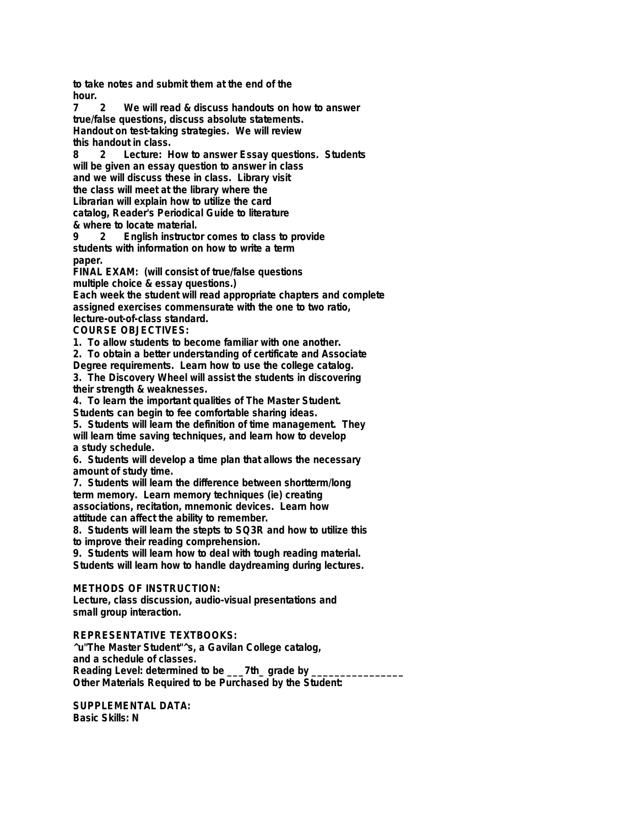**to take notes and submit them at the end of the hour.**

**7 2 We will read & discuss handouts on how to answer true/false questions, discuss absolute statements. Handout on test-taking strategies. We will review this handout in class.**

**8 2 Lecture: How to answer Essay questions. Students will be given an essay question to answer in class and we will discuss these in class. Library visit the class will meet at the library where the Librarian will explain how to utilize the card catalog, Reader's Periodical Guide to literature & where to locate material.**

**9 2 English instructor comes to class to provide students with information on how to write a term paper.**

**FINAL EXAM: (will consist of true/false questions multiple choice & essay questions.)**

**Each week the student will read appropriate chapters and complete assigned exercises commensurate with the one to two ratio, lecture-out-of-class standard.**

**COURSE OBJECTIVES:**

**1. To allow students to become familiar with one another.**

**2. To obtain a better understanding of certificate and Associate Degree requirements. Learn how to use the college catalog.**

**3. The Discovery Wheel will assist the students in discovering their strength & weaknesses.**

**4. To learn the important qualities of The Master Student.**

**Students can begin to fee comfortable sharing ideas.**

**5. Students will learn the definition of time management. They will learn time saving techniques, and learn how to develop a study schedule.**

**6. Students will develop a time plan that allows the necessary amount of study time.**

**7. Students will learn the difference between shortterm/long term memory. Learn memory techniques (ie) creating associations, recitation, mnemonic devices. Learn how attitude can affect the ability to remember.**

**8. Students will learn the stepts to SQ3R and how to utilize this to improve their reading comprehension.**

**9. Students will learn how to deal with tough reading material. Students will learn how to handle daydreaming during lectures.**

### **METHODS OF INSTRUCTION:**

**Lecture, class discussion, audio-visual presentations and small group interaction.**

#### **REPRESENTATIVE TEXTBOOKS:**

**^u"The Master Student"^s, a Gavilan College catalog, and a schedule of classes.** Reading Level: determined to be \_\_\_7th\_ grade by \_ **Other Materials Required to be Purchased by the Student:**

**SUPPLEMENTAL DATA: Basic Skills: N**